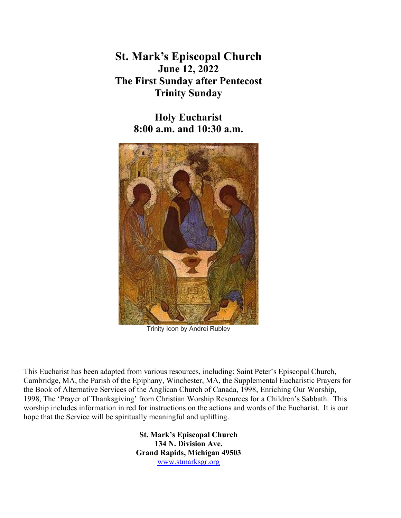**St. Mark's Episcopal Church June 12, 2022 The First Sunday after Pentecost Trinity Sunday**

> **Holy Eucharist 8:00 a.m. and 10:30 a.m.**



Trinity Icon by Andrei Rublev

This Eucharist has been adapted from various resources, including: Saint Peter's Episcopal Church, Cambridge, MA, the Parish of the Epiphany, Winchester, MA, the Supplemental Eucharistic Prayers for the Book of Alternative Services of the Anglican Church of Canada, 1998, Enriching Our Worship, 1998, The 'Prayer of Thanksgiving' from Christian Worship Resources for a Children's Sabbath. This worship includes information in red for instructions on the actions and words of the Eucharist. It is our hope that the Service will be spiritually meaningful and uplifting.

> **St. Mark's Episcopal Church 134 N. Division Ave. Grand Rapids, Michigan 49503** [www.stmarksgr.org](http://www.stmarksgr.org/)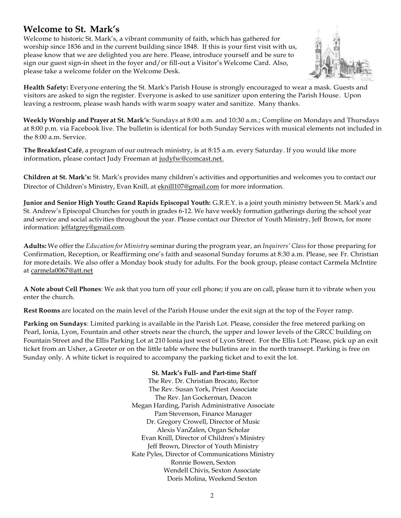# **Welcome to St. Mark's**

Welcome to historic St. Mark's, a vibrant community of faith, which has gathered for worship since 1836 and in the current building since 1848. If this is your first visit with us, please know that we are delighted you are here. Please, introduce yourself and be sure to sign our guest sign-in sheet in the foyer and/or fill-out a Visitor's Welcome Card. Also, please take a welcome folder on the Welcome Desk.



**Health Safety:** Everyone entering the St. Mark's Parish House is strongly encouraged to wear a mask. Guests and visitors are asked to sign the register. Everyone is asked to use sanitizer upon entering the Parish House. Upon leaving a restroom, please wash hands with warm soapy water and sanitize. Many thanks.

**Weekly Worship and Prayer at St. Mark's**: Sundays at 8:00 a.m. and 10:30 a.m.; Compline on Mondays and Thursdays at 8:00 p.m. via Facebook live. The bulletin is identical for both Sunday Services with musical elements not included in the 8:00 a.m. Service.

**The Breakfast Café**, a program of our outreach ministry, is at 8:15 a.m. every Saturday. If you would like more information, please contact Judy Freeman at [judyfw@comcast.net.](mailto:judyfw@comcast.net)

**Children at St. Mark's:** St. Mark's provides many children's activities and opportunities and welcomes you to contact our Director of Children's Ministry, Evan Knill, at [eknill107@gmail.com](mailto:eknill107@gmail.com) for more information.

**Junior and Senior High Youth: Grand Rapids Episcopal Youth:** G.R.E.Y. is a joint youth ministry between St. Mark's and St. Andrew's Episcopal Churches for youth in grades 6-12. We have weekly formation gatherings during the school year and service and social activities throughout the year. Please contact our Director of Youth Ministry, Jeff Brown, for more information[: jeffatgrey@gmail.com.](mailto:jeffatgrey@gmail.com)

**Adults:** We offer the *Education for Ministry* seminar during the program year, an *Inquirers' Class*for those preparing for Confirmation, Reception, or Reaffirming one's faith and seasonal Sunday forums at 8:30 a.m. Please, see Fr. Christian for moredetails. We also offer a Monday book study for adults. For the book group, please contact Carmela McIntire at [carmela0067@att.net](mailto:carmela0067@att.net)

**A Note about Cell Phones**: We ask that you turn off your cell phone; if you are on call, please turn it to vibrate when you enter the church.

**Rest Rooms** are located on the main level of the Parish House under the exit sign at the top of the Foyer ramp.

**Parking on Sundays**: Limited parking is available in the Parish Lot. Please, consider the free metered parking on Pearl, Ionia, Lyon, Fountain and other streets near the church, the upper and lower levels of the GRCC building on Fountain Street and the Ellis Parking Lot at 210 Ionia just west of Lyon Street. For the Ellis Lot: Please, pick up an exit ticket from an Usher, a Greeter or on the little table where the bulletins are in the north transept. Parking is free on Sunday only. A white ticket is required to accompany the parking ticket and to exit the lot.

#### **St. Mark's Full- and Part-time Staff**

The Rev. Dr. Christian Brocato, Rector The Rev. Susan York, Priest Associate The Rev. Jan Gockerman, Deacon Megan Harding, Parish Administrative Associate Pam Stevenson, Finance Manager Dr. Gregory Crowell, Director of Music Alexis VanZalen, Organ Scholar Evan Knill, Director of Children's Ministry Jeff Brown, Director of Youth Ministry Kate Pyles, Director of Communications Ministry Ronnie Bowen, Sexton Wendell Chivis, Sexton Associate Doris Molina, Weekend Sexton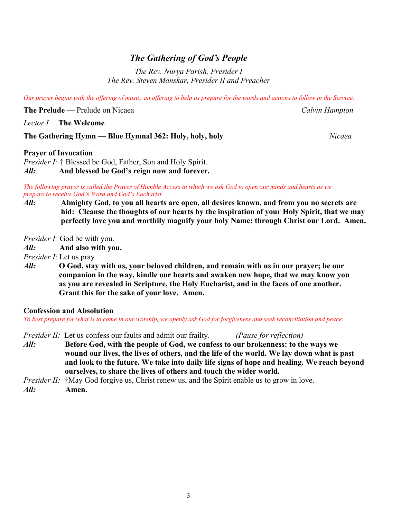# *The Gathering of God's People*

*The Rev. Nurya Parish, Presider I The Rev. Steven Manskar, Presider II and Preacher*

*Our prayer begins with the offering of music, an offering to help us prepare for the words and actions to follow in the Service.* 

**The Prelude —** Prelude on Nicaea *Calvin Hampton*

*Lector I* **The Welcome**

#### **The Gathering Hymn — Blue Hymnal 362: Holy, holy, holy** *Nicaea*

#### **Prayer of Invocation**

*Presider I:* † Blessed be God, Father, Son and Holy Spirit. *All:* **And blessed be God's reign now and forever.**

*The following prayer is called the Prayer of Humble Access in which we ask God to open our minds and hearts as we prepare to receive God's Word and God's Eucharist.*

*All:* **Almighty God, to you all hearts are open, all desires known, and from you no secrets are**  **hid: Cleanse the thoughts of our hearts by the inspiration of your Holy Spirit, that we may perfectly love you and worthily magnify your holy Name; through Christ our Lord. Amen.**

*Presider I:* God be with you.

*All:* **And also with you.**

*Presider I*: Let us pray

*All:* **O God, stay with us, your beloved children, and remain with us in our prayer; be our companion in the way, kindle our hearts and awaken new hope, that we may know you as you are revealed in Scripture, the Holy Eucharist, and in the faces of one another. Grant this for the sake of your love. Amen.**

#### **Confession and Absolution**

*To best prepare for what is to come in our worship, we openly ask God for forgiveness and seek reconciliation and peace.*

- *Presider II:* Let us confess our faults and admit our frailty. *(Pause for reflection)*
- *All:* **Before God, with the people of God, we confess to our brokenness: to the ways we wound our lives, the lives of others, and the life of the world. We lay down what is past and look to the future. We take into daily life signs of hope and healing. We reach beyond ourselves, to share the lives of others and touch the wider world.**

*Presider II:* †May God forgive us, Christ renew us, and the Spirit enable us to grow in love.

*All:* **Amen.**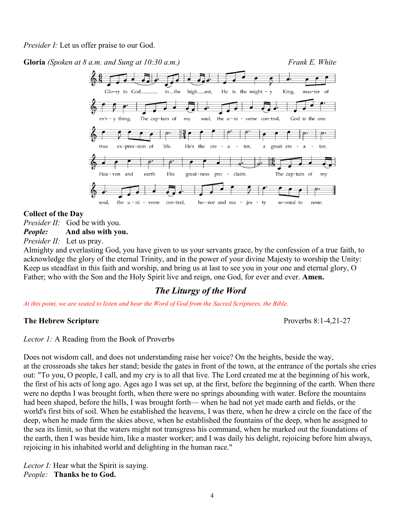*Presider I:* Let us offer praise to our God.

**Gloria** *(Spoken at 8 a.m. and Sung at 10:30 a.m.)**Frank E. White*



## **Collect of the Day**

*Presider II:* God be with you.

# *People:* **And also with you.**

*Presider II:* Let us pray.

Almighty and everlasting God, you have given to us your servants grace, by the confession of a true faith, to acknowledge the glory of the eternal Trinity, and in the power of your divine Majesty to worship the Unity: Keep us steadfast in this faith and worship, and bring us at last to see you in your one and eternal glory, O Father; who with the Son and the Holy Spirit live and reign, one God, for ever and ever. **Amen.**

# *The Liturgy of the Word*

*At this point, we are seated to listen and hear the Word of God from the Sacred Scriptures, the Bible.*

## **The Hebrew Scripture**  Proverbs 8:1-4,21-27

*Lector 1:* A Reading from the Book of Proverbs

Does not wisdom call, and does not understanding raise her voice? On the heights, beside the way, at the crossroads she takes her stand; beside the gates in front of the town, at the entrance of the portals she cries out: "To you, O people, I call, and my cry is to all that live. The Lord created me at the beginning of his work, the first of his acts of long ago. Ages ago I was set up, at the first, before the beginning of the earth. When there were no depths I was brought forth, when there were no springs abounding with water. Before the mountains had been shaped, before the hills, I was brought forth— when he had not yet made earth and fields, or the world's first bits of soil. When he established the heavens, I was there, when he drew a circle on the face of the deep, when he made firm the skies above, when he established the fountains of the deep, when he assigned to the sea its limit, so that the waters might not transgress his command, when he marked out the foundations of the earth, then I was beside him, like a master worker; and I was daily his delight, rejoicing before him always, rejoicing in his inhabited world and delighting in the human race."

*Lector I:* Hear what the Spirit is saying. *People:* **Thanks be to God.**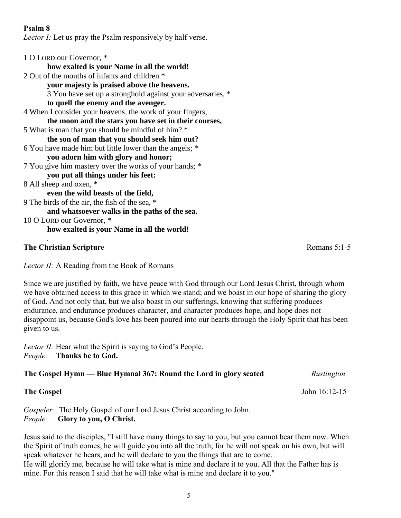#### **Psalm 8**

*Lector I:* Let us pray the Psalm responsively by half verse.

## **The Christian Scripture Romans 5:1-5**

*.*

*Lector II:* A Reading from the Book of Romans

Since we are justified by faith, we have peace with God through our Lord Jesus Christ, through whom we have obtained access to this grace in which we stand; and we boast in our hope of sharing the glory of God. And not only that, but we also boast in our sufferings, knowing that suffering produces endurance, and endurance produces character, and character produces hope, and hope does not disappoint us, because God's love has been poured into our hearts through the Holy Spirit that has been given to us.

*Lector II:* Hear what the Spirit is saying to God's People. *People:* **Thanks be to God.**

## **The Gospel Hymn — Blue Hymnal 367: Round the Lord in glory seated** *Rustington*

Gospeler: The Holy Gospel of our Lord Jesus Christ according to John. *People:* **Glory to you, O Christ.**

Jesus said to the disciples, "I still have many things to say to you, but you cannot bear them now. When the Spirit of truth comes, he will guide you into all the truth; for he will not speak on his own, but will speak whatever he hears, and he will declare to you the things that are to come. He will glorify me, because he will take what is mine and declare it to you. All that the Father has is mine. For this reason I said that he will take what is mine and declare it to you."

**The Gospel** John 16:12-15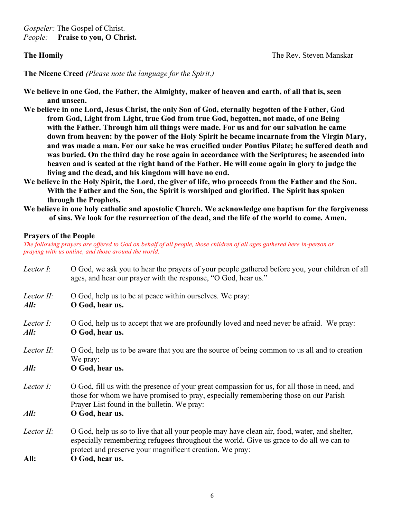*Gospeler:* The Gospel of Christ. *People:* **Praise to you, O Christ.**

**The Nicene Creed** *(Please note the language for the Spirit.)*

**We believe in one God, the Father, the Almighty, maker of heaven and earth, of all that is, seen and unseen.**

- **We believe in one Lord, Jesus Christ, the only Son of God, eternally begotten of the Father, God from God, Light from Light, true God from true God, begotten, not made, of one Being with the Father. Through him all things were made. For us and for our salvation he came down from heaven: by the power of the Holy Spirit he became incarnate from the Virgin Mary, and was made a man. For our sake he was crucified under Pontius Pilate; he suffered death and was buried. On the third day he rose again in accordance with the Scriptures; he ascended into heaven and is seated at the right hand of the Father. He will come again in glory to judge the living and the dead, and his kingdom will have no end.**
- **We believe in the Holy Spirit, the Lord, the giver of life, who proceeds from the Father and the Son. With the Father and the Son, the Spirit is worshiped and glorified. The Spirit has spoken through the Prophets.**
- **We believe in one holy catholic and apostolic Church. We acknowledge one baptism for the forgiveness of sins. We look for the resurrection of the dead, and the life of the world to come. Amen.**

#### **Prayers of the People**

*The following prayers are offered to God on behalf of all people, those children of all ages gathered here in-person or praying with us online, and those around the world.*

| Lector I:          | O God, we ask you to hear the prayers of your people gathered before you, your children of all<br>ages, and hear our prayer with the response, "O God, hear us."                                                                                    |  |
|--------------------|-----------------------------------------------------------------------------------------------------------------------------------------------------------------------------------------------------------------------------------------------------|--|
| Lector II:<br>All: | O God, help us to be at peace within ourselves. We pray:<br>O God, hear us.                                                                                                                                                                         |  |
| Lector I:<br>All:  | O God, help us to accept that we are profoundly loved and need never be afraid. We pray:<br>O God, hear us.                                                                                                                                         |  |
| Lector II:         | O God, help us to be aware that you are the source of being common to us all and to creation<br>We pray:                                                                                                                                            |  |
| All:               | O God, hear us.                                                                                                                                                                                                                                     |  |
| Lector $I$ :       | O God, fill us with the presence of your great compassion for us, for all those in need, and<br>those for whom we have promised to pray, especially remembering those on our Parish<br>Prayer List found in the bulletin. We pray:                  |  |
| All:               | O God, hear us.                                                                                                                                                                                                                                     |  |
| Lector II:         | O God, help us so to live that all your people may have clean air, food, water, and shelter,<br>especially remembering refugees throughout the world. Give us grace to do all we can to<br>protect and preserve your magnificent creation. We pray: |  |
| All:               | O God, hear us.                                                                                                                                                                                                                                     |  |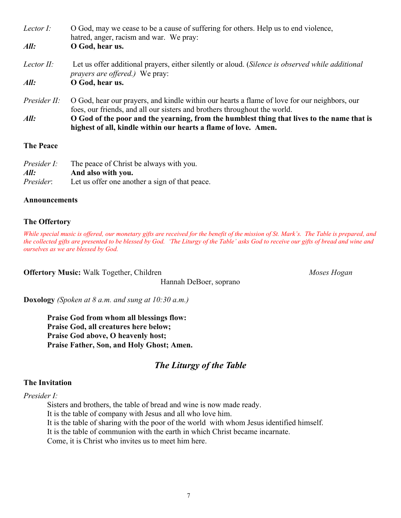| Lector I:        | O God, may we cease to be a cause of suffering for others. Help us to end violence,<br>hatred, anger, racism and war. We pray:                                            |  |
|------------------|---------------------------------------------------------------------------------------------------------------------------------------------------------------------------|--|
| All:             | O God, hear us.                                                                                                                                                           |  |
| Lector II:       | Let us offer additional prayers, either silently or aloud. (Silence is observed while additional<br><i>prayers are offered.</i> ) We pray:                                |  |
| All:             | O God, hear us.                                                                                                                                                           |  |
| Presider II:     | O God, hear our prayers, and kindle within our hearts a flame of love for our neighbors, our<br>foes, our friends, and all our sisters and brothers throughout the world. |  |
| All:             | O God of the poor and the yearning, from the humblest thing that lives to the name that is<br>highest of all, kindle within our hearts a flame of love. Amen.             |  |
| <b>The Peace</b> |                                                                                                                                                                           |  |
| Presider I:      | The peace of Christ be always with you.                                                                                                                                   |  |

| Presider I: | The peace of Christ be always with you.        |
|-------------|------------------------------------------------|
| All:        | And also with you.                             |
| Presider:   | Let us offer one another a sign of that peace. |

#### **Announcements**

#### **The Offertory**

*While special music is offered, our monetary gifts are received for the benefit of the mission of St. Mark's. The Table is prepared, and the collected gifts are presented to be blessed by God. 'The Liturgy of the Table' asks God to receive our gifts of bread and wine and ourselves as we are blessed by God.*

**Offertory Music:** Walk Together, Children *Moses Hogan* 

Hannah DeBoer, soprano

**Doxology** *(Spoken at 8 a.m. and sung at 10:30 a.m.)*

**Praise God from whom all blessings flow: Praise God, all creatures here below; Praise God above, O heavenly host; Praise Father, Son, and Holy Ghost; Amen.**

# *The Liturgy of the Table*

#### **The Invitation**

*Presider I:*

Sisters and brothers, the table of bread and wine is now made ready. It is the table of company with Jesus and all who love him. It is the table of sharing with the poor of the world with whom Jesus identified himself. It is the table of communion with the earth in which Christ became incarnate. Come, it is Christ who invites us to meet him here.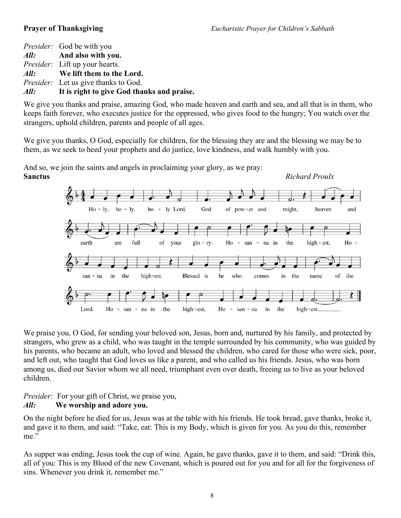*Presider:* God be with you *All:* **And also with you.** *Presider:* Lift up your hearts. *All:* **We lift them to the Lord.** *Presider:* Let us give thanks to God. *All:* **It is right to give God thanks and praise.**

We give you thanks and praise, amazing God, who made heaven and earth and sea, and all that is in them, who keeps faith forever, who executes justice for the oppressed, who gives food to the hungry; You watch over the strangers, uphold children, parents and people of all ages.

We give you thanks, O God, especially for children, for the blessing they are and the blessing we may be to them, as we seek to heed your prophets and do justice, love kindness, and walk humbly with you.



And so, we join the saints and angels in proclaiming your glory, as we pray:

We praise you, O God, for sending your beloved son, Jesus, born and, nurtured by his family, and protected by strangers, who grew as a child, who was taught in the temple surrounded by his community, who was guided by his parents, who became an adult, who loved and blessed the children, who cared for those who were sick, poor, and left out, who taught that God loves us like a parent, and who called us his friends. Jesus, who was born among us, died our Savior whom we all need, triumphant even over death, freeing us to live as your beloved children.

## *Presider:* For your gift of Christ, we praise you, *All:* **We worship and adore you.**

On the night before he died for us, Jesus was at the table with his friends. He took bread, gave thanks, broke it, and gave it to them, and said: "Take, eat: This is my Body, which is given for you. As you do this, remember me."

As supper was ending, Jesus took the cup of wine. Again, he gave thanks, gave it to them, and said: "Drink this, all of you: This is my Blood of the new Covenant, which is poured out for you and for all for the forgiveness of sins. Whenever you drink it, remember me."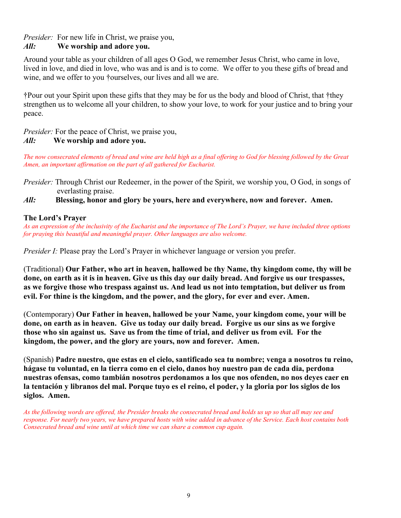*Presider:* For new life in Christ, we praise you,

## *All:* **We worship and adore you.**

Around your table as your children of all ages O God, we remember Jesus Christ, who came in love, lived in love, and died in love, who was and is and is to come. We offer to you these gifts of bread and wine, and we offer to you †ourselves, our lives and all we are.

†Pour out your Spirit upon these gifts that they may be for us the body and blood of Christ, that †they strengthen us to welcome all your children, to show your love, to work for your justice and to bring your peace.

*Presider:* For the peace of Christ, we praise you,

#### *All:* **We worship and adore you.**

*The now consecrated elements of bread and wine are held high as a final offering to God for blessing followed by the Great Amen, an important affirmation on the part of all gathered for Eucharist.*

*Presider:* Through Christ our Redeemer, in the power of the Spirit, we worship you, O God, in songs of everlasting praise.

#### *All:* **Blessing, honor and glory be yours, here and everywhere, now and forever. Amen.**

#### **The Lord's Prayer**

*As an expression of the inclusivity of the Eucharist and the importance of The Lord's Prayer, we have included three options for praying this beautiful and meaningful prayer. Other languages are also welcome.* 

*Presider I:* Please pray the Lord's Prayer in whichever language or version you prefer.

(Traditional) **Our Father, who art in heaven, hallowed be thy Name, thy kingdom come, thy will be done, on earth as it is in heaven. Give us this day our daily bread. And forgive us our trespasses, as we forgive those who trespass against us. And lead us not into temptation, but deliver us from evil. For thine is the kingdom, and the power, and the glory, for ever and ever. Amen.**

(Contemporary) **Our Father in heaven, hallowed be your Name, your kingdom come, your will be done, on earth as in heaven. Give us today our daily bread. Forgive us our sins as we forgive those who sin against us. Save us from the time of trial, and deliver us from evil. For the kingdom, the power, and the glory are yours, now and forever. Amen.**

(Spanish) **Padre nuestro, que estas en el cielo, santificado sea tu nombre; venga a nosotros tu reino, hágase tu voluntad, en la tierra como en el cielo, danos hoy nuestro pan de cada dia, perdona nuestras ofensas, como tambián nosotros perdonamos a los que nos ofenden, no nos deyes caer en la tentación y libranos del mal. Porque tuyo es el reino, el poder, y la gloria por los siglos de los siglos. Amen.**

*As the following words are offered, the Presider breaks the consecrated bread and holds us up so that all may see and response. For nearly two years, we have prepared hosts with wine added in advance of the Service. Each host contains both Consecrated bread and wine until at which time we can share a common cup again.*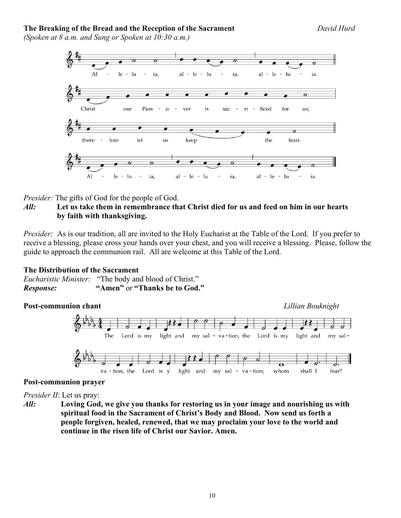#### **The Breaking of the Bread and the Reception of the Sacrament** *David Hurd*

*(Spoken at 8 a.m. and Sung or Spoken at 10:30 a.m.)*



*Presider:* The gifts of God for the people of God.

#### *All:* **Let us take them in remembrance that Christ died for us and feed on him in our hearts by faith with thanksgiving.**

*Presider:* As is our tradition, all are invited to the Holy Eucharist at the Table of the Lord. If you prefer to receive a blessing, please cross your hands over your chest, and you will receive a blessing. Please, follow the guide to approach the communion rail. All are welcome at this Table of the Lord.

#### **The Distribution of the Sacrament**

|           | <i>Eucharistic Minister:</i> "The body and blood of Christ." |
|-----------|--------------------------------------------------------------|
| Response: | "Amen" or "Thanks be to God."                                |



#### **Post-communion prayer**

*Presider II*: Let us pray:

*All:* **Loving God, we give you thanks for restoring us in your image and nourishing us with spiritual food in the Sacrament of Christ's Body and Blood. Now send us forth a people forgiven, healed, renewed, that we may proclaim your love to the world and continue in the risen life of Christ our Savior. Amen.**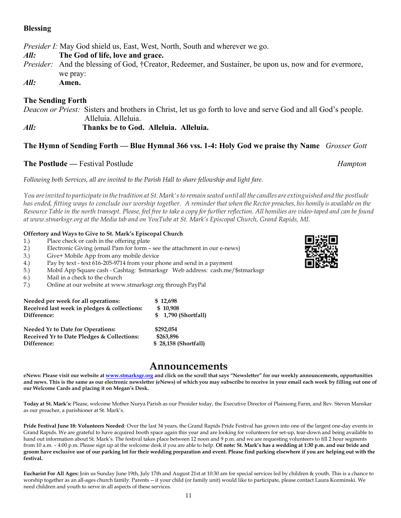#### **Blessing**

*Presider I:* May God shield us, East, West, North, South and wherever we go.

*All:* **The God of life, love and grace.**

- *Presider:* And the blessing of God, †Creator, Redeemer, and Sustainer, be upon us, now and for evermore, we pray:
- *All:* **Amen.**

#### **The Sending Forth**

*Deacon or Priest:* Sisters and brothers in Christ, let us go forth to love and serve God and all God's people. Alleluia. Alleluia.

*All:* **Thanks be to God. Alleluia. Alleluia.**

#### **The Hymn of Sending Forth — Blue Hymnal 366 vss. 1-4: Holy God we praise thy Name** *Grosser Gott*

#### **The Postlude —** Festival Postlude *Hampton*

*Following both Services, all are invited to the Parish Hall to share fellowship and light fare.*

You are invited to participate in the tradition at St. Mark's to remain seated until all the candles are extinguished and the postlude *has ended, fitting ways to conclude our worship together. A reminderthat when the Rector preaches, his homily is available on the* Resource Table in the north transept. Please, feel free to take a copy for further reflection. All homilies are video-taped and can be found *at [www.stmarksgr.org](http://www.stmarksgr.org/) at the Media tab and on YouTube at St. Mark's Episcopal Church, Grand Rapids, MI.*

#### **Offertory and Ways to Give to St. Mark's Episcopal Church**

- 1.) Place check or cash in the offering plate
- 2.) Electronic Giving (email Pam for form see the attachment in our e-news)
- 3.) Give+ Mobile App from any mobile device
- 4.) Pay by text text 616-205-9714 from your phone and send in a payment
- 5.) Mobil App Square cash Cashtag: \$stmarksgr Web address: cash.me/\$stmarksgr
- 6.) Mail in a check to the church
- 7.) Online at our website at www.stmarksgr.org through PayPal

| Needed per week for all operations:          | \$12.698             |
|----------------------------------------------|----------------------|
| Received last week in pledges & collections: | \$10.908             |
| Difference:                                  | \$ 1,790 (Shortfall) |
|                                              |                      |

| <b>Needed Yr to Date for Operations:</b>   | \$292.054            |
|--------------------------------------------|----------------------|
| Received Yr to Date Pledges & Collections: | \$263.896            |
| Difference:                                | \$28,158 (Shortfall) |

# **Announcements**

eNews: Please visit our website at [www.stmarksgr.org](http://www.stmarksgr.org/) and click on the scroll that says "Newsletter" for our weekly announcements, opportunities and news. This is the same as our electronic newsletter (eNews) of which you may subscribe to receive in your email each week by filling out one of **our Welcome Cards and placing it on Megan's Desk.**

**Today at St. Mark's:** Please, welcome Mother Nurya Parish as our Presider today, the Executive Director of Plainsong Farm, and Rev. Steven Manskar as our preacher, a parishioner at St. Mark's.

**Pride Festival June 18: Volunteers Needed**: Over the last 34 years, the Grand Rapids Pride Festival has grown into one of the largest one-day events in Grand Rapids. We are grateful to have acquired booth space again this year and are looking for volunteers for set-up, tear-down and being available to hand out information about St. Mark's. The festival takes place between 12 noon and 9 p.m. and we are requesting volunteers to fill 2 hour segments from 10 a.m. – 4:00 p.m. Please sign up at the welcome desk if you are able to help. **Of note: St. Mark's has a wedding at 1:30 p.m. and our bride and groom have exclusive use of our parking lot for their wedding preparation and event. Please find parking elsewhere if you are helping out with the festival.** 

**Eucharist For All Ages:** Join us Sunday June 19th, July 17th and August 21st at 10:30 am for special services led by children & youth. This is a chance to worship together as an all-ages church family. Parents -- if your child (or family unit) would like to participate, please contact Laura Kozminski. We need children and youth to serve in all aspects of these services.